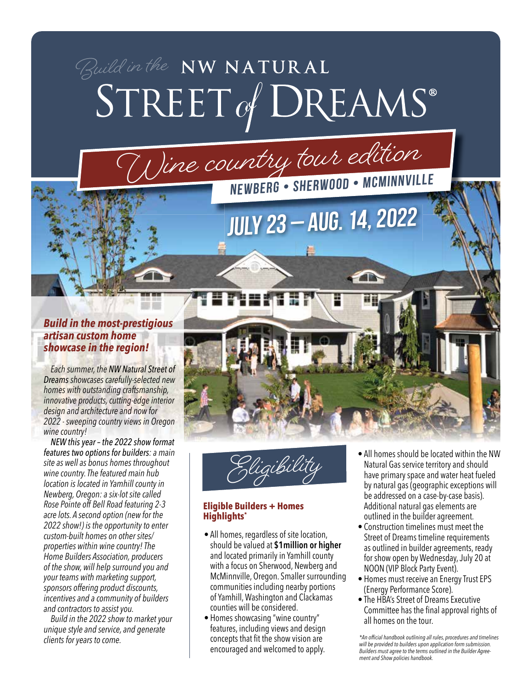## Build in the NW NATURAL<br>STREET of DREAMS<sup>®</sup>



## *Build in the most-prestigious artisan custom home showcase in the region!*

*Each summer, the NW Natural Street of Dreams showcases carefully-selected new homes with outstanding craftsmanship, innovative products, cutting-edge interior design and architecture and now for 2022 - sweeping country views in Oregon wine country!* 

*NEW this year – the 2022 show format features two options for builders: a main site as well as bonus homes throughout wine country. The featured main hub location is located in Yamhill county in Newberg, Oregon: a six-lot site called Rose Pointe off Bell Road featuring 2-3 acre lots. A second option (new for the 2022 show!) is the opportunity to enter custom-built homes on other sites/ properties within wine country! The Home Builders Association, producers of the show, will help surround you and your teams with marketing support, sponsors offering product discounts, incentives and a community of builders and contractors to assist you.*

*Build in the 2022 show to market your unique style and service, and generate clients for years to come.*



 $\curvearrowleft$ 

**July 23 – Aug. 14, 2022**

**Eligibility**

## **Eligible Builders + Homes Highlights\***

- All homes, regardless of site location, should be valued at **\$1million or higher** and located primarily in Yamhill county with a focus on Sherwood, Newberg and McMinnville, Oregon. Smaller surrounding communities including nearby portions of Yamhill, Washington and Clackamas counties will be considered.
- Homes showcasing "wine country" features, including views and design concepts that fit the show vision are encouraged and welcomed to apply.
- All homes should be located within the NW Natural Gas service territory and should have primary space and water heat fueled by natural gas (geographic exceptions will be addressed on a case-by-case basis). Additional natural gas elements are outlined in the builder agreement.
- Construction timelines must meet the Street of Dreams timeline requirements as outlined in builder agreements, ready for show open by Wednesday, July 20 at NOON (VIP Block Party Event).
- Homes must receive an Energy Trust EPS (Energy Performance Score).
- The HBA's Street of Dreams Executive Committee has the final approval rights of all homes on the tour.

*\*An offi cial handbook outlining all rules, procedures and timelines will be provided to builders upon application form submission. Builders must agree to the terms outlined in the Builder Agreement and Show policies handbook.*